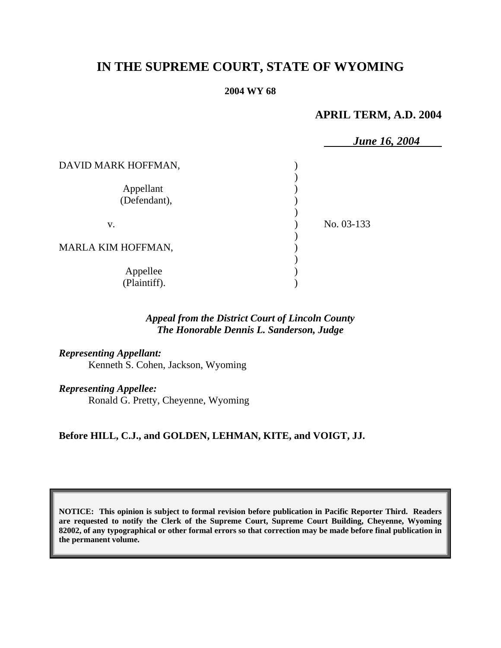# **IN THE SUPREME COURT, STATE OF WYOMING**

#### **2004 WY 68**

# **APRIL TERM, A.D. 2004**

|                     | <b>June 16, 2004</b> |
|---------------------|----------------------|
| DAVID MARK HOFFMAN, |                      |
|                     |                      |
| Appellant           |                      |
| (Defendant),        |                      |
|                     |                      |
| V.                  | No. 03-133           |
|                     |                      |
| MARLA KIM HOFFMAN,  |                      |
|                     |                      |
| Appellee            |                      |
| (Plaintiff).        |                      |

## *Appeal from the District Court of Lincoln County The Honorable Dennis L. Sanderson, Judge*

*Representing Appellant:* Kenneth S. Cohen, Jackson, Wyoming

*Representing Appellee:* Ronald G. Pretty, Cheyenne, Wyoming

**Before HILL, C.J., and GOLDEN, LEHMAN, KITE, and VOIGT, JJ.** 

**NOTICE: This opinion is subject to formal revision before publication in Pacific Reporter Third. Readers are requested to notify the Clerk of the Supreme Court, Supreme Court Building, Cheyenne, Wyoming 82002, of any typographical or other formal errors so that correction may be made before final publication in the permanent volume.**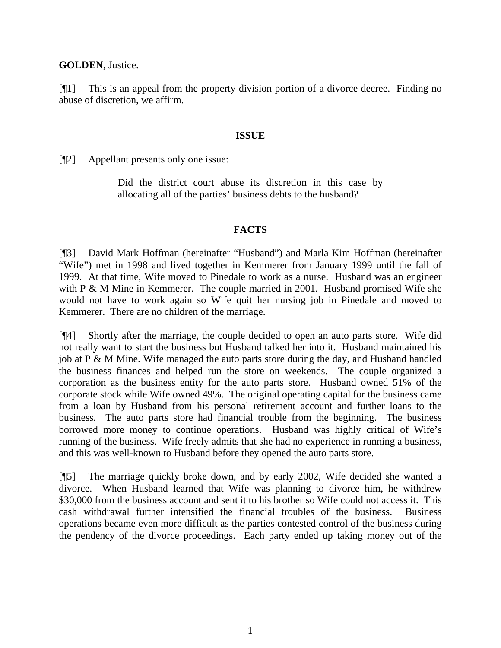#### **GOLDEN**, Justice.

[¶1] This is an appeal from the property division portion of a divorce decree. Finding no abuse of discretion, we affirm.

#### **ISSUE**

[¶2] Appellant presents only one issue:

Did the district court abuse its discretion in this case by allocating all of the parties' business debts to the husband?

#### **FACTS**

[¶3] David Mark Hoffman (hereinafter "Husband") and Marla Kim Hoffman (hereinafter "Wife") met in 1998 and lived together in Kemmerer from January 1999 until the fall of 1999. At that time, Wife moved to Pinedale to work as a nurse. Husband was an engineer with P & M Mine in Kemmerer. The couple married in 2001. Husband promised Wife she would not have to work again so Wife quit her nursing job in Pinedale and moved to Kemmerer. There are no children of the marriage.

[¶4] Shortly after the marriage, the couple decided to open an auto parts store. Wife did not really want to start the business but Husband talked her into it. Husband maintained his job at P & M Mine. Wife managed the auto parts store during the day, and Husband handled the business finances and helped run the store on weekends. The couple organized a corporation as the business entity for the auto parts store. Husband owned 51% of the corporate stock while Wife owned 49%. The original operating capital for the business came from a loan by Husband from his personal retirement account and further loans to the business. The auto parts store had financial trouble from the beginning. The business borrowed more money to continue operations. Husband was highly critical of Wife's running of the business. Wife freely admits that she had no experience in running a business, and this was well-known to Husband before they opened the auto parts store.

[¶5] The marriage quickly broke down, and by early 2002, Wife decided she wanted a divorce. When Husband learned that Wife was planning to divorce him, he withdrew \$30,000 from the business account and sent it to his brother so Wife could not access it. This cash withdrawal further intensified the financial troubles of the business. Business operations became even more difficult as the parties contested control of the business during the pendency of the divorce proceedings. Each party ended up taking money out of the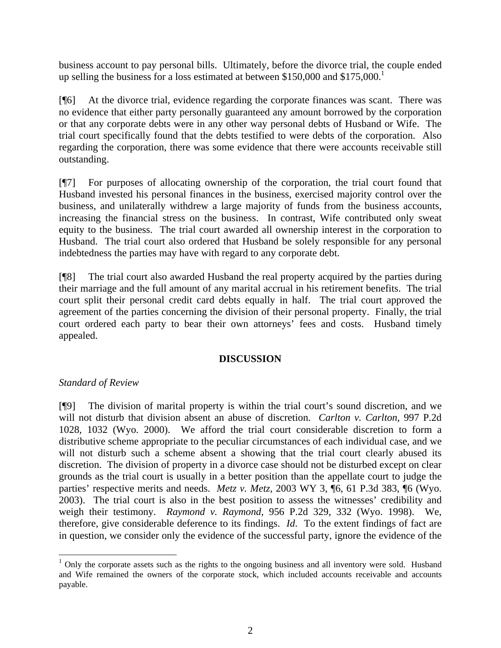business account to pay personal bills. Ultimately, before the divorce trial, the couple ended up selling the business for a loss estimated at between \$150,000 and  $$175,000$ .<sup>1</sup>

[¶6] At the divorce trial, evidence regarding the corporate finances was scant. There was no evidence that either party personally guaranteed any amount borrowed by the corporation or that any corporate debts were in any other way personal debts of Husband or Wife. The trial court specifically found that the debts testified to were debts of the corporation. Also regarding the corporation, there was some evidence that there were accounts receivable still outstanding.

[¶7] For purposes of allocating ownership of the corporation, the trial court found that Husband invested his personal finances in the business, exercised majority control over the business, and unilaterally withdrew a large majority of funds from the business accounts, increasing the financial stress on the business. In contrast, Wife contributed only sweat equity to the business. The trial court awarded all ownership interest in the corporation to Husband. The trial court also ordered that Husband be solely responsible for any personal indebtedness the parties may have with regard to any corporate debt.

[¶8] The trial court also awarded Husband the real property acquired by the parties during their marriage and the full amount of any marital accrual in his retirement benefits. The trial court split their personal credit card debts equally in half. The trial court approved the agreement of the parties concerning the division of their personal property. Finally, the trial court ordered each party to bear their own attorneys' fees and costs. Husband timely appealed.

### **DISCUSSION**

## *Standard of Review*

[¶9] The division of marital property is within the trial court's sound discretion, and we will not disturb that division absent an abuse of discretion. *Carlton v. Carlton*, 997 P.2d 1028, 1032 (Wyo. 2000). We afford the trial court considerable discretion to form a distributive scheme appropriate to the peculiar circumstances of each individual case, and we will not disturb such a scheme absent a showing that the trial court clearly abused its discretion. The division of property in a divorce case should not be disturbed except on clear grounds as the trial court is usually in a better position than the appellate court to judge the parties' respective merits and needs. *Metz v. Metz*, 2003 WY 3, ¶6, 61 P.3d 383, ¶6 (Wyo. 2003). The trial court is also in the best position to assess the witnesses' credibility and weigh their testimony. *Raymond v. Raymond*, 956 P.2d 329, 332 (Wyo. 1998). We, therefore, give considerable deference to its findings. *Id*. To the extent findings of fact are in question, we consider only the evidence of the successful party, ignore the evidence of the

 $1$  Only the corporate assets such as the rights to the ongoing business and all inventory were sold. Husband and Wife remained the owners of the corporate stock, which included accounts receivable and accounts payable.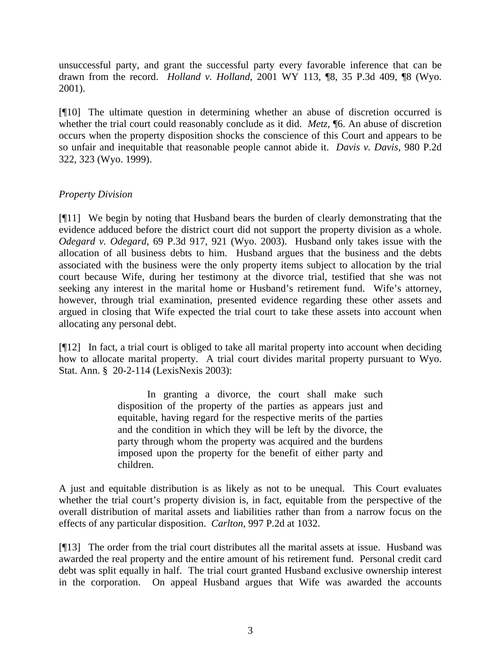unsuccessful party, and grant the successful party every favorable inference that can be drawn from the record. *Holland v. Holland*, 2001 WY 113, ¶8, 35 P.3d 409, ¶8 (Wyo. 2001).

[¶10] The ultimate question in determining whether an abuse of discretion occurred is whether the trial court could reasonably conclude as it did. *Metz*, ¶6. An abuse of discretion occurs when the property disposition shocks the conscience of this Court and appears to be so unfair and inequitable that reasonable people cannot abide it. *Davis v. Davis*, 980 P.2d 322, 323 (Wyo. 1999).

## *Property Division*

[¶11] We begin by noting that Husband bears the burden of clearly demonstrating that the evidence adduced before the district court did not support the property division as a whole. *Odegard v. Odegard*, 69 P.3d 917, 921 (Wyo. 2003). Husband only takes issue with the allocation of all business debts to him. Husband argues that the business and the debts associated with the business were the only property items subject to allocation by the trial court because Wife, during her testimony at the divorce trial, testified that she was not seeking any interest in the marital home or Husband's retirement fund. Wife's attorney, however, through trial examination, presented evidence regarding these other assets and argued in closing that Wife expected the trial court to take these assets into account when allocating any personal debt.

[¶12] In fact, a trial court is obliged to take all marital property into account when deciding how to allocate marital property. A trial court divides marital property pursuant to Wyo. Stat. Ann. § 20-2-114 (LexisNexis 2003):

> In granting a divorce, the court shall make such disposition of the property of the parties as appears just and equitable, having regard for the respective merits of the parties and the condition in which they will be left by the divorce, the party through whom the property was acquired and the burdens imposed upon the property for the benefit of either party and children.

A just and equitable distribution is as likely as not to be unequal. This Court evaluates whether the trial court's property division is, in fact, equitable from the perspective of the overall distribution of marital assets and liabilities rather than from a narrow focus on the effects of any particular disposition. *Carlton,* 997 P.2d at 1032.

[¶13] The order from the trial court distributes all the marital assets at issue. Husband was awarded the real property and the entire amount of his retirement fund. Personal credit card debt was split equally in half. The trial court granted Husband exclusive ownership interest in the corporation. On appeal Husband argues that Wife was awarded the accounts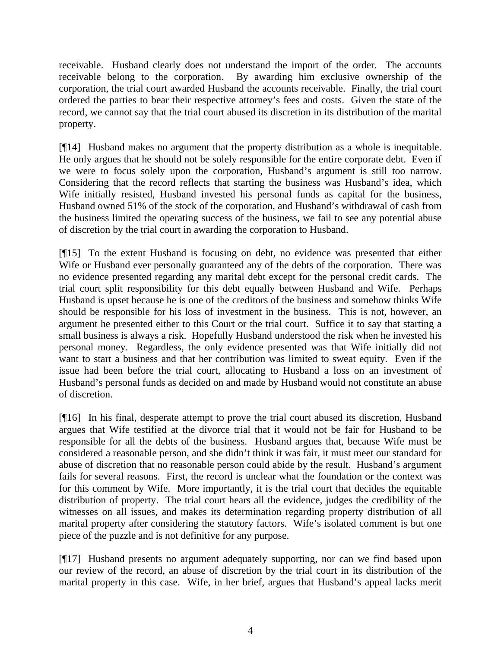receivable. Husband clearly does not understand the import of the order. The accounts receivable belong to the corporation. By awarding him exclusive ownership of the corporation, the trial court awarded Husband the accounts receivable. Finally, the trial court ordered the parties to bear their respective attorney's fees and costs. Given the state of the record, we cannot say that the trial court abused its discretion in its distribution of the marital property.

[¶14] Husband makes no argument that the property distribution as a whole is inequitable. He only argues that he should not be solely responsible for the entire corporate debt. Even if we were to focus solely upon the corporation, Husband's argument is still too narrow. Considering that the record reflects that starting the business was Husband's idea, which Wife initially resisted, Husband invested his personal funds as capital for the business, Husband owned 51% of the stock of the corporation, and Husband's withdrawal of cash from the business limited the operating success of the business, we fail to see any potential abuse of discretion by the trial court in awarding the corporation to Husband.

[¶15] To the extent Husband is focusing on debt, no evidence was presented that either Wife or Husband ever personally guaranteed any of the debts of the corporation. There was no evidence presented regarding any marital debt except for the personal credit cards. The trial court split responsibility for this debt equally between Husband and Wife. Perhaps Husband is upset because he is one of the creditors of the business and somehow thinks Wife should be responsible for his loss of investment in the business. This is not, however, an argument he presented either to this Court or the trial court. Suffice it to say that starting a small business is always a risk. Hopefully Husband understood the risk when he invested his personal money. Regardless, the only evidence presented was that Wife initially did not want to start a business and that her contribution was limited to sweat equity. Even if the issue had been before the trial court, allocating to Husband a loss on an investment of Husband's personal funds as decided on and made by Husband would not constitute an abuse of discretion.

[¶16] In his final, desperate attempt to prove the trial court abused its discretion, Husband argues that Wife testified at the divorce trial that it would not be fair for Husband to be responsible for all the debts of the business. Husband argues that, because Wife must be considered a reasonable person, and she didn't think it was fair, it must meet our standard for abuse of discretion that no reasonable person could abide by the result. Husband's argument fails for several reasons. First, the record is unclear what the foundation or the context was for this comment by Wife. More importantly, it is the trial court that decides the equitable distribution of property. The trial court hears all the evidence, judges the credibility of the witnesses on all issues, and makes its determination regarding property distribution of all marital property after considering the statutory factors. Wife's isolated comment is but one piece of the puzzle and is not definitive for any purpose.

[¶17] Husband presents no argument adequately supporting, nor can we find based upon our review of the record, an abuse of discretion by the trial court in its distribution of the marital property in this case. Wife, in her brief, argues that Husband's appeal lacks merit